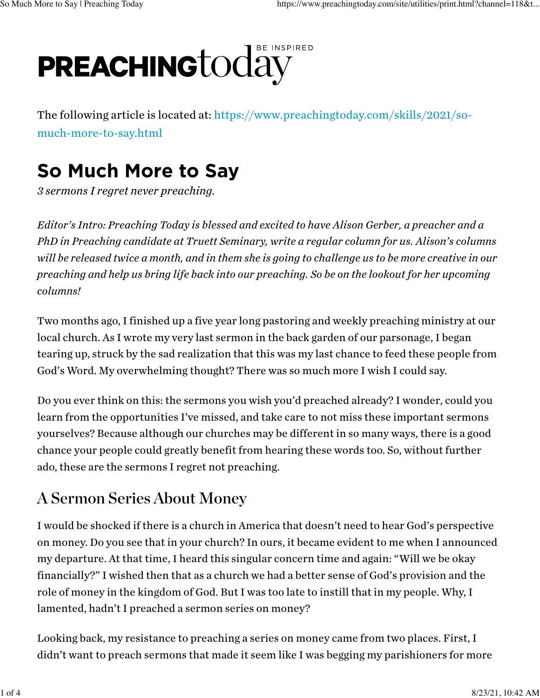# E INSPIRED **PREACHING**today

The following article is located at: [https://www.preachingtoday.com/skills/2021/so](https://www.preachingtoday.com/skills/2021/so-much-more-to-say.html)[much-more-to-say.html](https://www.preachingtoday.com/skills/2021/so-much-more-to-say.html)

# So Much More to Say

*3 sermons I regret never preaching.*

*Editor's Intro: Preaching Today is blessed and excited to have Alison Gerber, a preacher and a PhD in Preaching candidate at Truett Seminary, write a regular column for us. Alison's columns will be released twice a month, and in them she is going to challenge us to be more creative in our preaching and help us bring life back into our preaching. So be on the lookout for her upcoming columns!*

Two months ago, I finished up a five year long pastoring and weekly preaching ministry at our local church. As I wrote my very last sermon in the back garden of our parsonage, I began tearing up, struck by the sad realization that this was my last chance to feed these people from God's Word. My overwhelming thought? There was so much more I wish I could say.

Do you ever think on this: the sermons you wish you'd preached already? I wonder, could you learn from the opportunities I've missed, and take care to not miss these important sermons yourselves? Because although our churches may be different in so many ways, there is a good chance your people could greatly benefit from hearing these words too. So, without further ado, these are the sermons I regret not preaching.

#### A Sermon Series About Money

I would be shocked if there is a church in America that doesn't need to hear God's perspective on money. Do you see that in your church? In ours, it became evident to me when I announced my departure. At that time, I heard this singular concern time and again: "Will we be okay financially?" I wished then that as a church we had a better sense of God's provision and the role of money in the kingdom of God. But I was too late to instill that in my people. Why, I lamented, hadn't I preached a sermon series on money?

Looking back, my resistance to preaching a series on money came from two places. First, I didn't want to preach sermons that made it seem like I was begging my parishioners for more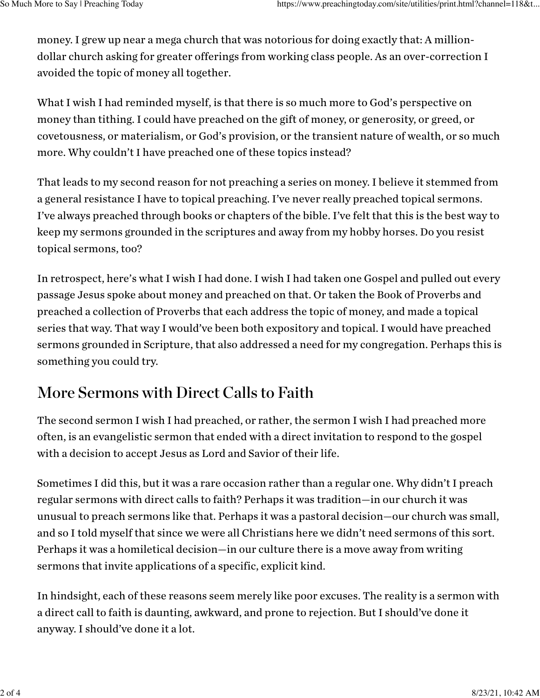money. I grew up near a mega church that was notorious for doing exactly that: A milliondollar church asking for greater offerings from working class people. As an over-correction I avoided the topic of money all together.

What I wish I had reminded myself, is that there is so much more to God's perspective on money than tithing. I could have preached on the gift of money, or generosity, or greed, or covetousness, or materialism, or God's provision, or the transient nature of wealth, or so much more. Why couldn't I have preached one of these topics instead?

That leads to my second reason for not preaching a series on money. I believe it stemmed from a general resistance I have to topical preaching. I've never really preached topical sermons. I've always preached through books or chapters of the bible. I've felt that this is the best way to keep my sermons grounded in the scriptures and away from my hobby horses. Do you resist topical sermons, too?

In retrospect, here's what I wish I had done. I wish I had taken one Gospel and pulled out every passage Jesus spoke about money and preached on that. Or taken the Book of Proverbs and preached a collection of Proverbs that each address the topic of money, and made a topical series that way. That way I would've been both expository and topical. I would have preached sermons grounded in Scripture, that also addressed a need for my congregation. Perhaps this is something you could try.

### More Sermons with Direct Calls to Faith

The second sermon I wish I had preached, or rather, the sermon I wish I had preached more often, is an evangelistic sermon that ended with a direct invitation to respond to the gospel with a decision to accept Jesus as Lord and Savior of their life.

Sometimes I did this, but it was a rare occasion rather than a regular one. Why didn't I preach regular sermons with direct calls to faith? Perhaps it was tradition—in our church it was unusual to preach sermons like that. Perhaps it was a pastoral decision—our church was small, and so I told myself that since we were all Christians here we didn't need sermons of this sort. Perhaps it was a homiletical decision—in our culture there is a move away from writing sermons that invite applications of a specific, explicit kind.

In hindsight, each of these reasons seem merely like poor excuses. The reality is a sermon with a direct call to faith is daunting, awkward, and prone to rejection. But I should've done it anyway. I should've done it a lot.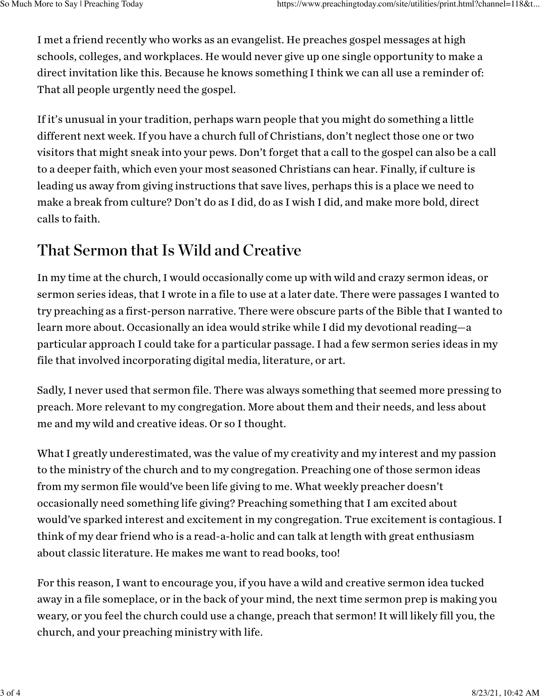I met a friend recently who works as an evangelist. He preaches gospel messages at high schools, colleges, and workplaces. He would never give up one single opportunity to make a direct invitation like this. Because he knows something I think we can all use a reminder of: That all people urgently need the gospel.

If it's unusual in your tradition, perhaps warn people that you might do something a little different next week. If you have a church full of Christians, don't neglect those one or two visitors that might sneak into your pews. Don't forget that a call to the gospel can also be a call to a deeper faith, which even your most seasoned Christians can hear. Finally, if culture is leading us away from giving instructions that save lives, perhaps this is a place we need to make a break from culture? Don't do as I did, do as I wish I did, and make more bold, direct calls to faith.

### That Sermon that Is Wild and Creative

In my time at the church, I would occasionally come up with wild and crazy sermon ideas, or sermon series ideas, that I wrote in a file to use at a later date. There were passages I wanted to try preaching as a first-person narrative. There were obscure parts of the Bible that I wanted to learn more about. Occasionally an idea would strike while I did my devotional reading—a particular approach I could take for a particular passage. I had a few sermon series ideas in my file that involved incorporating digital media, literature, or art.

Sadly, I never used that sermon file. There was always something that seemed more pressing to preach. More relevant to my congregation. More about them and their needs, and less about me and my wild and creative ideas. Or so I thought.

What I greatly underestimated, was the value of my creativity and my interest and my passion to the ministry of the church and to my congregation. Preaching one of those sermon ideas from my sermon file would've been life giving to me. What weekly preacher doesn't occasionally need something life giving? Preaching something that I am excited about would've sparked interest and excitement in my congregation. True excitement is contagious. I think of my dear friend who is a read-a-holic and can talk at length with great enthusiasm about classic literature. He makes me want to read books, too!

For this reason, I want to encourage you, if you have a wild and creative sermon idea tucked away in a file someplace, or in the back of your mind, the next time sermon prep is making you weary, or you feel the church could use a change, preach that sermon! It will likely fill you, the church, and your preaching ministry with life.